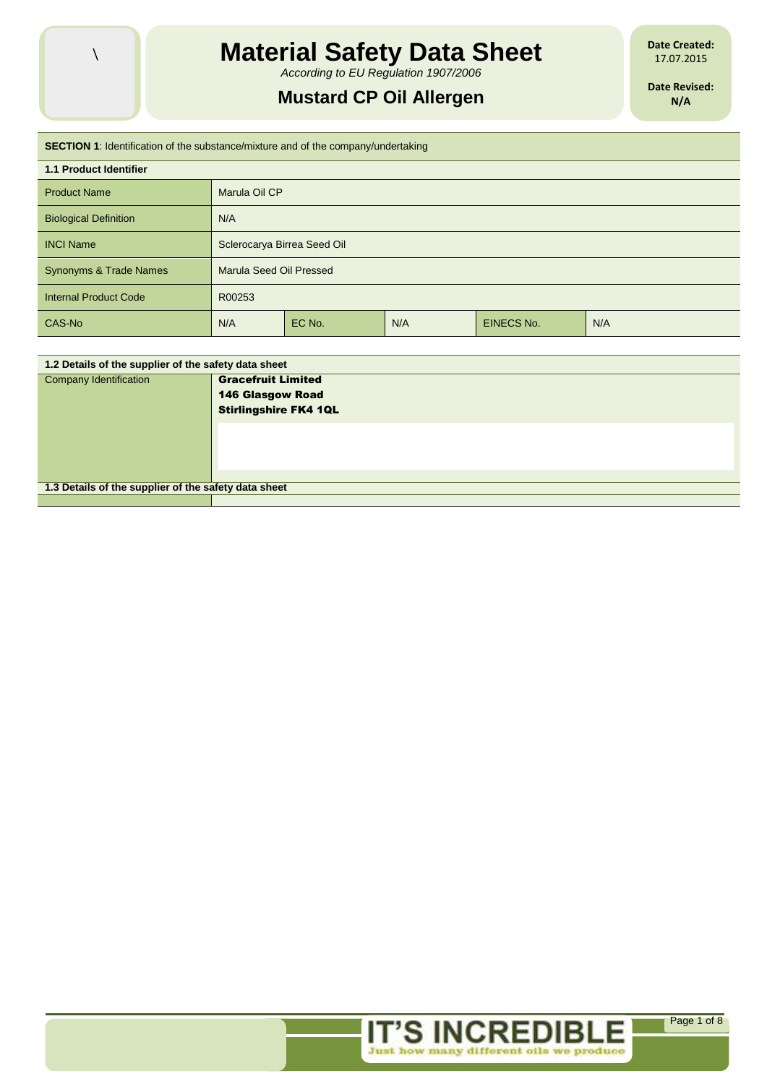

*According to EU Regulation 1907/2006*

# **Mustard CP Oil Allergen**

**Date Created:** 17.07.2015

**Date Revised: N/A**

| <b>SECTION 1:</b> Identification of the substance/mixture and of the company/undertaking |                             |        |     |                   |     |
|------------------------------------------------------------------------------------------|-----------------------------|--------|-----|-------------------|-----|
| <b>1.1 Product Identifier</b>                                                            |                             |        |     |                   |     |
| <b>Product Name</b>                                                                      | Marula Oil CP               |        |     |                   |     |
| <b>Biological Definition</b>                                                             | N/A                         |        |     |                   |     |
| <b>INCI Name</b>                                                                         | Sclerocarya Birrea Seed Oil |        |     |                   |     |
| <b>Synonyms &amp; Trade Names</b>                                                        | Marula Seed Oil Pressed     |        |     |                   |     |
| <b>Internal Product Code</b>                                                             | R00253                      |        |     |                   |     |
| CAS-No                                                                                   | N/A                         | EC No. | N/A | <b>EINECS No.</b> | N/A |

| 1.2 Details of the supplier of the safety data sheet |                              |  |
|------------------------------------------------------|------------------------------|--|
| <b>Company Identification</b>                        | <b>Gracefruit Limited</b>    |  |
|                                                      | <b>146 Glasgow Road</b>      |  |
|                                                      | <b>Stirlingshire FK4 1QL</b> |  |
|                                                      |                              |  |
|                                                      |                              |  |
|                                                      |                              |  |
|                                                      |                              |  |
| 1.3 Details of the supplier of the safety data sheet |                              |  |
|                                                      |                              |  |



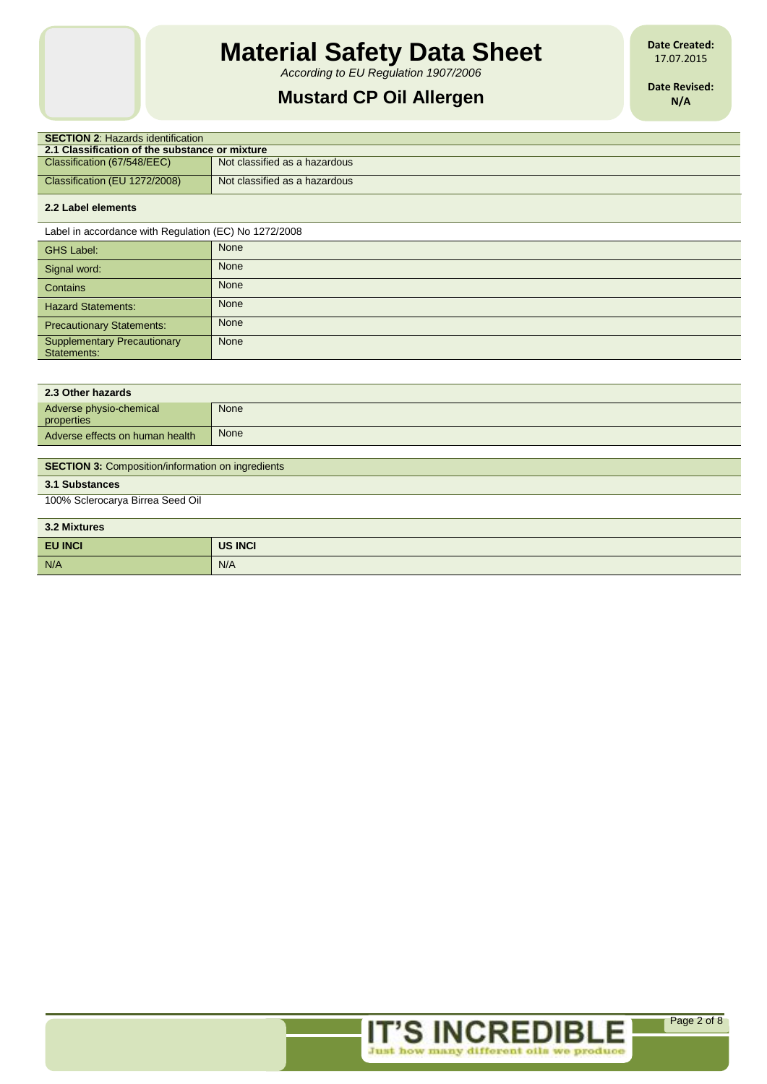*According to EU Regulation 1907/2006*

# **Mustard CP Oil Allergen**

**Date Created:** 17.07.2015

**Date Revised: N/A**

| <b>SECTION 2: Hazards identification</b>       |                               |  |  |
|------------------------------------------------|-------------------------------|--|--|
| 2.1 Classification of the substance or mixture |                               |  |  |
| Classification (67/548/EEC)                    | Not classified as a hazardous |  |  |
| Classification (EU 1272/2008)                  | Not classified as a hazardous |  |  |
|                                                |                               |  |  |

# **2.2 Label elements**

 $\overline{\phantom{a}}$ Ī

Label in accordance with Regulation (EC) No 1272/2008

| <b>GHS Label:</b>                                 | None        |
|---------------------------------------------------|-------------|
| Signal word:                                      | <b>None</b> |
| Contains                                          | <b>None</b> |
| <b>Hazard Statements:</b>                         | <b>None</b> |
| <b>Precautionary Statements:</b>                  | None        |
| <b>Supplementary Precautionary</b><br>Statements: | None        |

| 2.3 Other hazards                     |      |
|---------------------------------------|------|
| Adverse physio-chemical<br>properties | None |
| Adverse effects on human health       | None |
|                                       |      |

### **SECTION 3: Composition/information on ingredients**

# **3.1 Substances**

100% Sclerocarya Birrea Seed Oil

| 3.2 Mixtures   |                |  |
|----------------|----------------|--|
| <b>EU INCI</b> | <b>US INCI</b> |  |
| N/A            | N/A            |  |

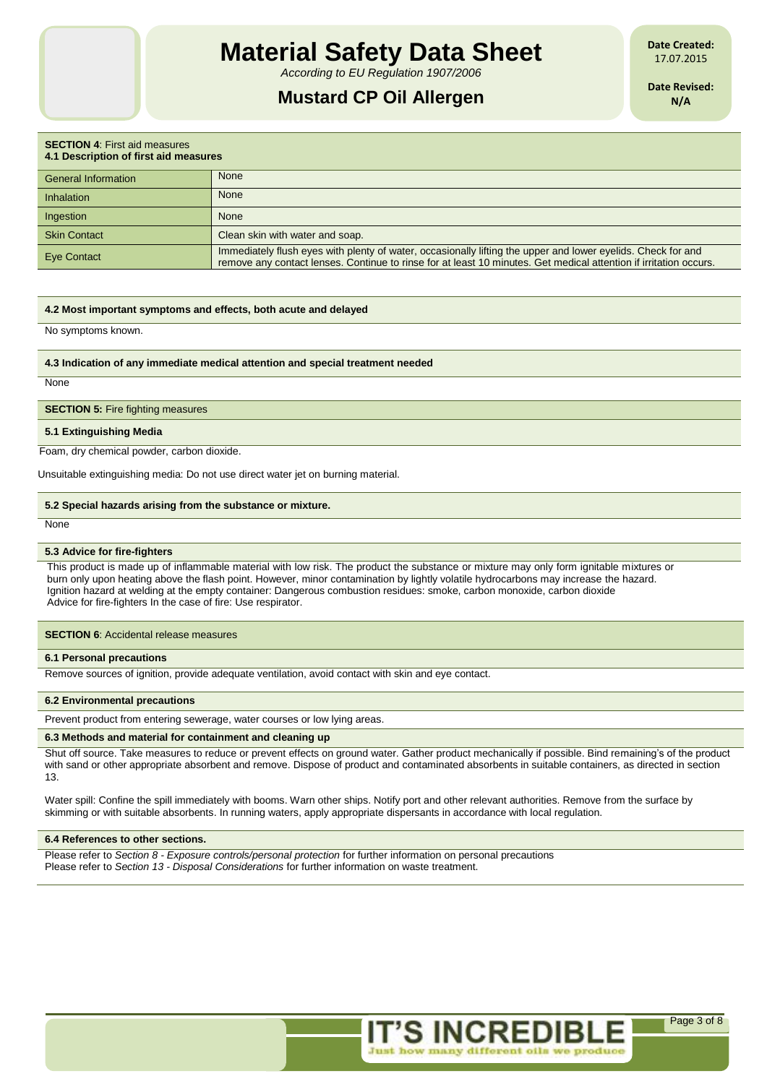*According to EU Regulation 1907/2006*

# **Mustard CP Oil Allergen**

**Date Created:** 17.07.2015

**Date Revised: N/A**

| <b>SECTION 4: First aid measures</b><br>4.1 Description of first aid measures |                                                                                                                                                                                                                                   |  |
|-------------------------------------------------------------------------------|-----------------------------------------------------------------------------------------------------------------------------------------------------------------------------------------------------------------------------------|--|
| General Information                                                           | <b>None</b>                                                                                                                                                                                                                       |  |
| Inhalation                                                                    | <b>None</b>                                                                                                                                                                                                                       |  |
| Ingestion                                                                     | <b>None</b>                                                                                                                                                                                                                       |  |
| <b>Skin Contact</b>                                                           | Clean skin with water and soap.                                                                                                                                                                                                   |  |
| <b>Eye Contact</b>                                                            | Immediately flush eyes with plenty of water, occasionally lifting the upper and lower eyelids. Check for and<br>remove any contact lenses. Continue to rinse for at least 10 minutes. Get medical attention if irritation occurs. |  |

#### **4.2 Most important symptoms and effects, both acute and delayed**

No symptoms known.

**4.3 Indication of any immediate medical attention and special treatment needed**

**None** 

**SECTION 5: Fire fighting measures** 

**5.1 Extinguishing Media**

Foam, dry chemical powder, carbon dioxide.

Unsuitable extinguishing media: Do not use direct water jet on burning material.

#### **5.2 Special hazards arising from the substance or mixture.**

**None** 

#### **5.3 Advice for fire-fighters**

This product is made up of inflammable material with low risk. The product the substance or mixture may only form ignitable mixtures or burn only upon heating above the flash point. However, minor contamination by lightly volatile hydrocarbons may increase the hazard. Ignition hazard at welding at the empty container: Dangerous combustion residues: smoke, carbon monoxide, carbon dioxide Advice for fire-fighters In the case of fire: Use respirator.

**SECTION 6: Accidental release measures** 

#### **6.1 Personal precautions**

Remove sources of ignition, provide adequate ventilation, avoid contact with skin and eye contact.

#### **6.2 Environmental precautions**

Prevent product from entering sewerage, water courses or low lying areas.

### **6.3 Methods and material for containment and cleaning up**

Shut off source. Take measures to reduce or prevent effects on ground water. Gather product mechanically if possible. Bind remaining's of the product with sand or other appropriate absorbent and remove. Dispose of product and contaminated absorbents in suitable containers, as directed in section 13.

Water spill: Confine the spill immediately with booms. Warn other ships. Notify port and other relevant authorities. Remove from the surface by skimming or with suitable absorbents. In running waters, apply appropriate dispersants in accordance with local regulation.

#### **6.4 References to other sections.**

Please refer to *Section 8 - Exposure controls/personal protection* for further information on personal precautions Please refer to *Section 13 - Disposal Considerations* for further information on waste treatment.

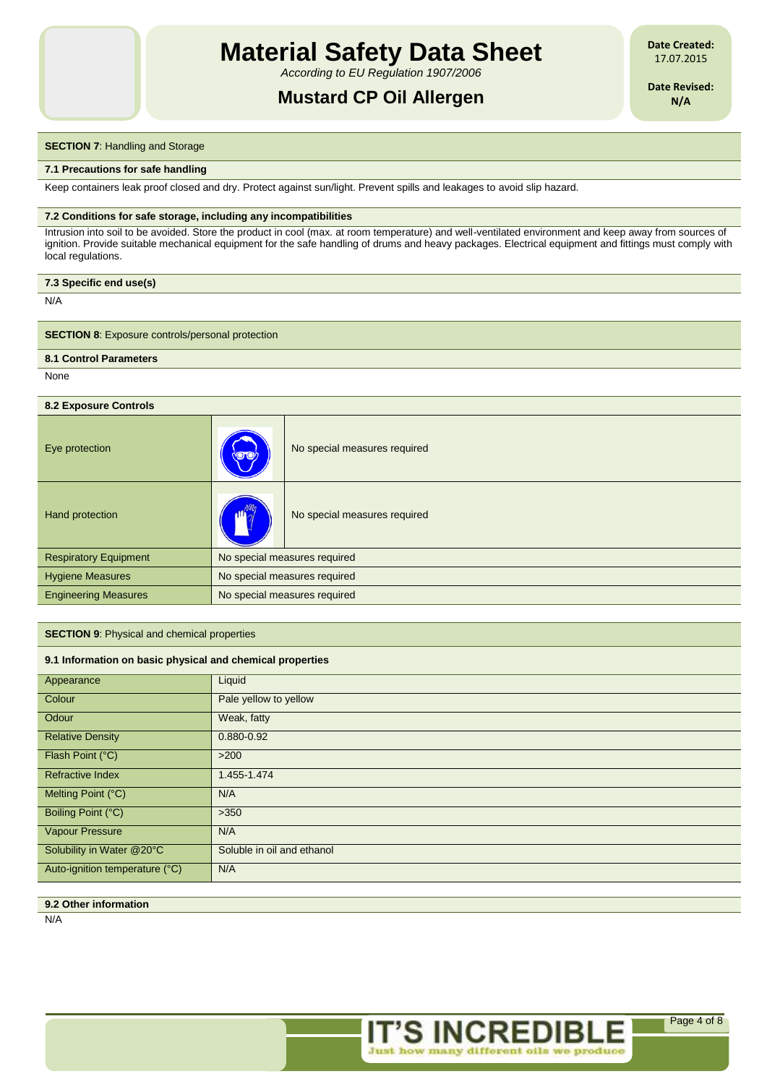*According to EU Regulation 1907/2006*

# **Mustard CP Oil Allergen**

**Date Created:** 17.07.2015

**Date Revised: N/A**

### **SECTION 7: Handling and Storage**

#### **7.1 Precautions for safe handling**

Keep containers leak proof closed and dry. Protect against sun/light. Prevent spills and leakages to avoid slip hazard.

#### **7.2 Conditions for safe storage, including any incompatibilities**

Intrusion into soil to be avoided. Store the product in cool (max. at room temperature) and well-ventilated environment and keep away from sources of ignition. Provide suitable mechanical equipment for the safe handling of drums and heavy packages. Electrical equipment and fittings must comply with local regulations.

| 7.3 Specific end use(s) |
|-------------------------|
|-------------------------|

N/A

**SECTION 8:** Exposure controls/personal protection

## **8.1 Control Parameters**

None

## **8.2 Exposure Controls**

| Eye protection               | <b>YDD</b>                   | No special measures required |
|------------------------------|------------------------------|------------------------------|
| Hand protection              | 11 Pullet                    | No special measures required |
| <b>Respiratory Equipment</b> | No special measures required |                              |
| <b>Hygiene Measures</b>      | No special measures required |                              |
| <b>Engineering Measures</b>  | No special measures required |                              |

#### **SECTION 9**: Physical and chemical properties

#### **9.1 Information on basic physical and chemical properties**

| Appearance                     | Liquid                     |
|--------------------------------|----------------------------|
| Colour                         | Pale yellow to yellow      |
| Odour                          | Weak, fatty                |
| <b>Relative Density</b>        | 0.880-0.92                 |
| Flash Point (°C)               | $>200$                     |
| <b>Refractive Index</b>        | 1.455-1.474                |
| Melting Point (°C)             | N/A                        |
| Boiling Point (°C)             | >350                       |
| <b>Vapour Pressure</b>         | N/A                        |
| Solubility in Water @20°C      | Soluble in oil and ethanol |
| Auto-ignition temperature (°C) | N/A                        |
|                                |                            |

## **9.2 Other information**

N/A

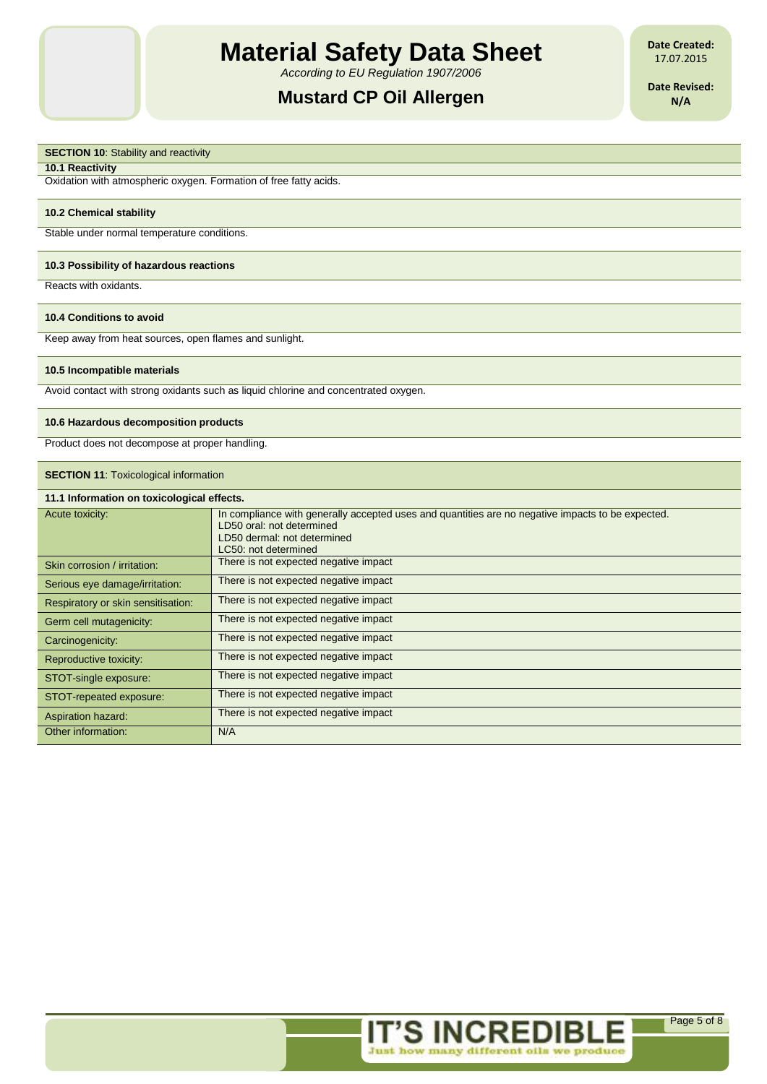*According to EU Regulation 1907/2006*

# **Mustard CP Oil Allergen**

**Date Created:** 17.07.2015

**Date Revised: N/A**

# **SECTION 10:** Stability and reactivity

**10.1 Reactivity**

Oxidation with atmospheric oxygen. Formation of free fatty acids.

#### **10.2 Chemical stability**

Stable under normal temperature conditions.

#### **10.3 Possibility of hazardous reactions**

Reacts with oxidants.

#### **10.4 Conditions to avoid**

Keep away from heat sources, open flames and sunlight.

#### **10.5 Incompatible materials**

Avoid contact with strong oxidants such as liquid chlorine and concentrated oxygen.

#### **10.6 Hazardous decomposition products**

Product does not decompose at proper handling.

### **SECTION 11: Toxicological information**

| 11.1 Information on toxicological effects. |                                                                                                                                                                                       |  |
|--------------------------------------------|---------------------------------------------------------------------------------------------------------------------------------------------------------------------------------------|--|
| Acute toxicity:                            | In compliance with generally accepted uses and quantities are no negative impacts to be expected.<br>LD50 oral: not determined<br>LD50 dermal: not determined<br>LC50: not determined |  |
| Skin corrosion / irritation:               | There is not expected negative impact                                                                                                                                                 |  |
| Serious eye damage/irritation:             | There is not expected negative impact                                                                                                                                                 |  |
| Respiratory or skin sensitisation:         | There is not expected negative impact                                                                                                                                                 |  |
| Germ cell mutagenicity:                    | There is not expected negative impact                                                                                                                                                 |  |
| Carcinogenicity:                           | There is not expected negative impact                                                                                                                                                 |  |
| Reproductive toxicity:                     | There is not expected negative impact                                                                                                                                                 |  |
| STOT-single exposure:                      | There is not expected negative impact                                                                                                                                                 |  |
| STOT-repeated exposure:                    | There is not expected negative impact                                                                                                                                                 |  |
| Aspiration hazard:                         | There is not expected negative impact                                                                                                                                                 |  |
| Other information:                         | N/A                                                                                                                                                                                   |  |

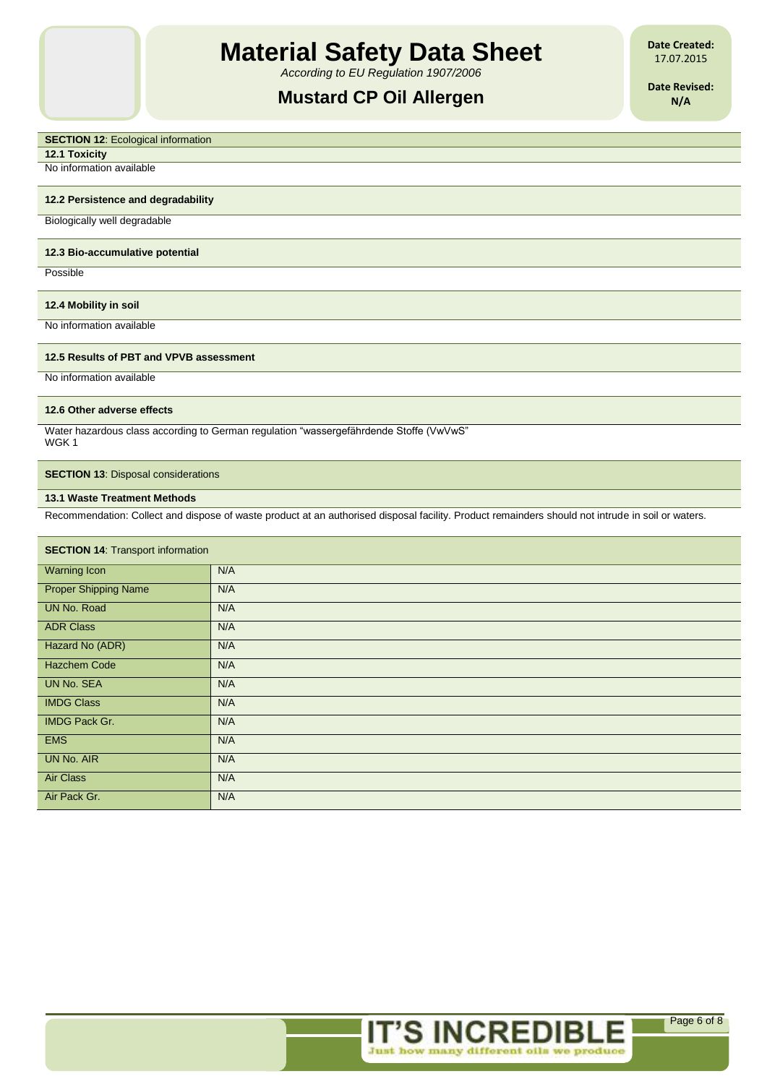*According to EU Regulation 1907/2006*

# **Mustard CP Oil Allergen**

**Date Created:** 17.07.2015

**Date Revised: N/A**

### **SECTION 12: Ecological information**

**12.1 Toxicity**

No information available

## **12.2 Persistence and degradability**

Biologically well degradable

#### **12.3 Bio-accumulative potential**

Possible

# **12.4 Mobility in soil**

No information available

## **12.5 Results of PBT and VPVB assessment**

No information available

#### **12.6 Other adverse effects**

Water hazardous class according to German regulation "wassergefährdende Stoffe (VwVwS" WGK 1

## **SECTION 13: Disposal considerations**

## **13.1 Waste Treatment Methods**

Recommendation: Collect and dispose of waste product at an authorised disposal facility. Product remainders should not intrude in soil or waters.

| <b>SECTION 14: Transport information</b> |     |  |
|------------------------------------------|-----|--|
| <b>Warning Icon</b>                      | N/A |  |
| <b>Proper Shipping Name</b>              | N/A |  |
| UN No. Road                              | N/A |  |
| <b>ADR Class</b>                         | N/A |  |
| Hazard No (ADR)                          | N/A |  |
| <b>Hazchem Code</b>                      | N/A |  |
| <b>UN No. SEA</b>                        | N/A |  |
| <b>IMDG Class</b>                        | N/A |  |
| <b>IMDG Pack Gr.</b>                     | N/A |  |
| <b>EMS</b>                               | N/A |  |
| <b>UN No. AIR</b>                        | N/A |  |
| Air Class                                | N/A |  |
| Air Pack Gr.                             | N/A |  |

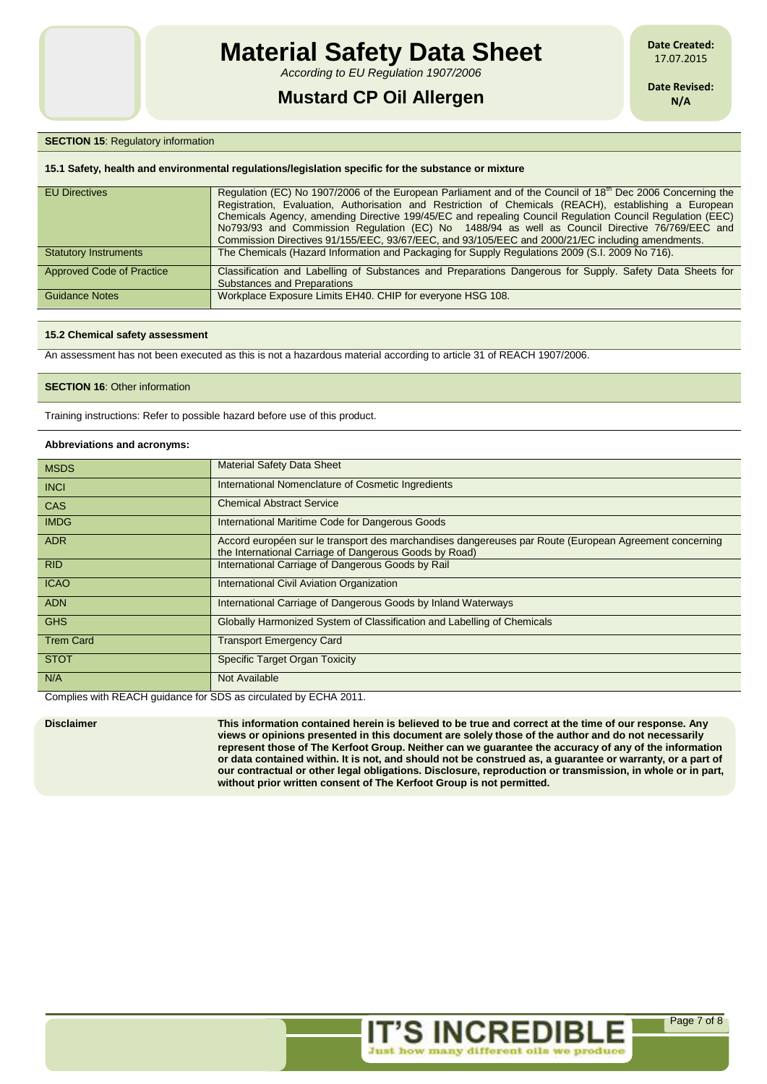*According to EU Regulation 1907/2006*

# **Mustard CP Oil Allergen**

**Date Created:** 17.07.2015

**Date Revised: N/A**

## **SECTION 15: Regulatory information**

#### **15.1 Safety, health and environmental regulations/legislation specific for the substance or mixture**

| <b>EU Directives</b>             | Regulation (EC) No 1907/2006 of the European Parliament and of the Council of 18 <sup>th</sup> Dec 2006 Concerning the<br>Registration, Evaluation, Authorisation and Restriction of Chemicals (REACH), establishing a European<br>Chemicals Agency, amending Directive 199/45/EC and repealing Council Regulation Council Regulation (EEC)<br>No793/93 and Commission Regulation (EC) No 1488/94 as well as Council Directive 76/769/EEC and<br>Commission Directives 91/155/EEC, 93/67/EEC, and 93/105/EEC and 2000/21/EC including amendments. |
|----------------------------------|---------------------------------------------------------------------------------------------------------------------------------------------------------------------------------------------------------------------------------------------------------------------------------------------------------------------------------------------------------------------------------------------------------------------------------------------------------------------------------------------------------------------------------------------------|
| <b>Statutory Instruments</b>     | The Chemicals (Hazard Information and Packaging for Supply Regulations 2009 (S.I. 2009 No 716).                                                                                                                                                                                                                                                                                                                                                                                                                                                   |
| <b>Approved Code of Practice</b> | Classification and Labelling of Substances and Preparations Dangerous for Supply. Safety Data Sheets for<br><b>Substances and Preparations</b>                                                                                                                                                                                                                                                                                                                                                                                                    |
| <b>Guidance Notes</b>            | Workplace Exposure Limits EH40. CHIP for everyone HSG 108.                                                                                                                                                                                                                                                                                                                                                                                                                                                                                        |

#### **15.2 Chemical safety assessment**

An assessment has not been executed as this is not a hazardous material according to article 31 of REACH 1907/2006.

## **SECTION 16: Other information**

Training instructions: Refer to possible hazard before use of this product.

#### **Abbreviations and acronyms:**

| <b>MSDS</b>      | <b>Material Safety Data Sheet</b>                                                                                                                                |  |
|------------------|------------------------------------------------------------------------------------------------------------------------------------------------------------------|--|
| <b>INCI</b>      | International Nomenclature of Cosmetic Ingredients                                                                                                               |  |
| <b>CAS</b>       | <b>Chemical Abstract Service</b>                                                                                                                                 |  |
| <b>IMDG</b>      | International Maritime Code for Dangerous Goods                                                                                                                  |  |
| <b>ADR</b>       | Accord européen sur le transport des marchandises dangereuses par Route (European Agreement concerning<br>the International Carriage of Dangerous Goods by Road) |  |
| <b>RID</b>       | International Carriage of Dangerous Goods by Rail                                                                                                                |  |
| <b>ICAO</b>      | International Civil Aviation Organization                                                                                                                        |  |
| <b>ADN</b>       | International Carriage of Dangerous Goods by Inland Waterways                                                                                                    |  |
| <b>GHS</b>       | Globally Harmonized System of Classification and Labelling of Chemicals                                                                                          |  |
| <b>Trem Card</b> | <b>Transport Emergency Card</b>                                                                                                                                  |  |
| <b>STOT</b>      | <b>Specific Target Organ Toxicity</b>                                                                                                                            |  |
| N/A              | Not Available                                                                                                                                                    |  |

Complies with REACH guidance for SDS as circulated by ECHA 2011.

**Disclaimer This information contained herein is believed to be true and correct at the time of our response. Any views or opinions presented in this document are solely those of the author and do not necessarily represent those of The Kerfoot Group. Neither can we guarantee the accuracy of any of the information or data contained within. It is not, and should not be construed as, a guarantee or warranty, or a part of our contractual or other legal obligations. Disclosure, reproduction or transmission, in whole or in part, without prior written consent of The Kerfoot Group is not permitted.**